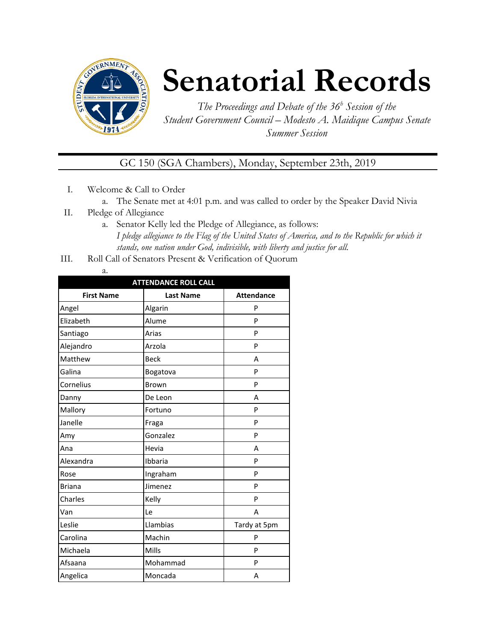

# **Senatorial Records**

*The Proceedings and Debate of the 36 <sup>h</sup> Session of the Student Government Council – Modesto A. Maidique Campus Senate Summer Session*

GC 150 (SGA Chambers), Monday, September 23th, 2019

- I. Welcome & Call to Order
	- a. The Senate met at 4:01 p.m. and was called to order by the Speaker David Nivia
- II. Pledge of Allegiance
	- a. Senator Kelly led the Pledge of Allegiance, as follows: *I pledge allegiance to the Flag of the United States of America, and to the Republic for which it stands, one nation under God, indivisible, with liberty and justice for all.*
- III. Roll Call of Senators Present & Verification of Quorum
	- a.

| <b>ATTENDANCE ROLL CALL</b> |                  |                   |  |  |
|-----------------------------|------------------|-------------------|--|--|
| <b>First Name</b>           | <b>Last Name</b> | <b>Attendance</b> |  |  |
| Angel                       | Algarin          | P                 |  |  |
| Elizabeth                   | Alume            | P                 |  |  |
| Santiago                    | Arias            | P                 |  |  |
| Alejandro                   | Arzola           | P                 |  |  |
| Matthew                     | <b>Beck</b>      | A                 |  |  |
| Galina                      | Bogatova         | P                 |  |  |
| Cornelius                   | <b>Brown</b>     | P                 |  |  |
| Danny                       | De Leon          | A                 |  |  |
| Mallory                     | Fortuno          | P                 |  |  |
| Janelle                     | Fraga            | P                 |  |  |
| Amy                         | Gonzalez         | P                 |  |  |
| Ana                         | Hevia            | A                 |  |  |
| Alexandra                   | Ibbaria          | P                 |  |  |
| Rose                        | Ingraham         | P                 |  |  |
| <b>Briana</b>               | Jimenez          | P                 |  |  |
| Charles                     | Kelly            | P                 |  |  |
| Van                         | Le               | A                 |  |  |
| Leslie                      | Llambias         | Tardy at 5pm      |  |  |
| Carolina                    | Machin           | P                 |  |  |
| Michaela                    | Mills            | P                 |  |  |
| Afsaana                     | Mohammad         | P                 |  |  |
| Angelica                    | Moncada          | Α                 |  |  |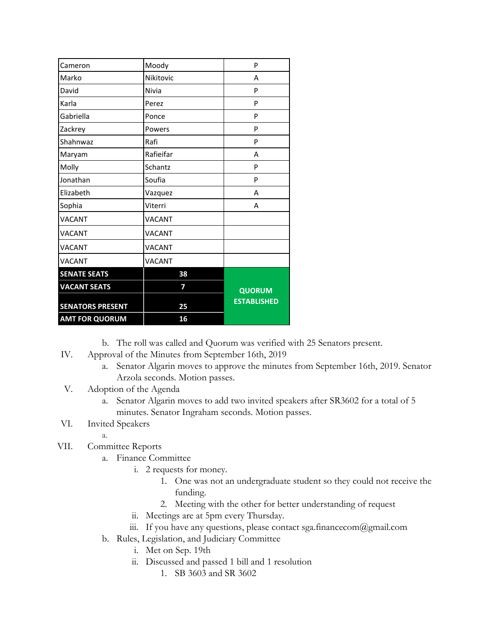| Cameron                 | Moody         | P                  |
|-------------------------|---------------|--------------------|
| Marko                   | Nikitovic     | Α                  |
| David                   | Nivia         | P                  |
| Karla                   | Perez         | P                  |
| Gabriella               | Ponce         | P                  |
| Zackrey                 | Powers        | P                  |
| Shahnwaz                | Rafi          | P                  |
| Maryam                  | Rafieifar     | A                  |
| Molly                   | Schantz       | P                  |
| Jonathan                | Soufia        | P                  |
| Elizabeth               | Vazquez       | A                  |
| Sophia                  | Viterri       | A                  |
| <b>VACANT</b>           | <b>VACANT</b> |                    |
| <b>VACANT</b>           | <b>VACANT</b> |                    |
| <b>VACANT</b>           | <b>VACANT</b> |                    |
| <b>VACANT</b>           | <b>VACANT</b> |                    |
| <b>SENATE SEATS</b>     | 38            |                    |
| <b>VACANT SEATS</b>     | 7             | <b>QUORUM</b>      |
| <b>SENATORS PRESENT</b> | 25            | <b>ESTABLISHED</b> |
| <b>AMT FOR QUORUM</b>   | 16            |                    |

b. The roll was called and Quorum was verified with 25 Senators present.

- IV. Approval of the Minutes from September 16th, 2019
	- a. Senator Algarin moves to approve the minutes from September 16th, 2019. Senator Arzola seconds. Motion passes.
- V. Adoption of the Agenda
	- a. Senator Algarin moves to add two invited speakers after SR3602 for a total of 5 minutes. Senator Ingraham seconds. Motion passes.

### VI. Invited Speakers

a.

### VII. Committee Reports

- a. Finance Committee
	- i. 2 requests for money.
		- 1. One was not an undergraduate student so they could not receive the funding.
		- 2. Meeting with the other for better understanding of request
	- ii. Meetings are at 5pm every Thursday.
	- iii. If you have any questions, please contact sga.financecom@gmail.com
- b. Rules, Legislation, and Judiciary Committee
	- i. Met on Sep. 19th
	- ii. Discussed and passed 1 bill and 1 resolution
		- 1. SB 3603 and SR 3602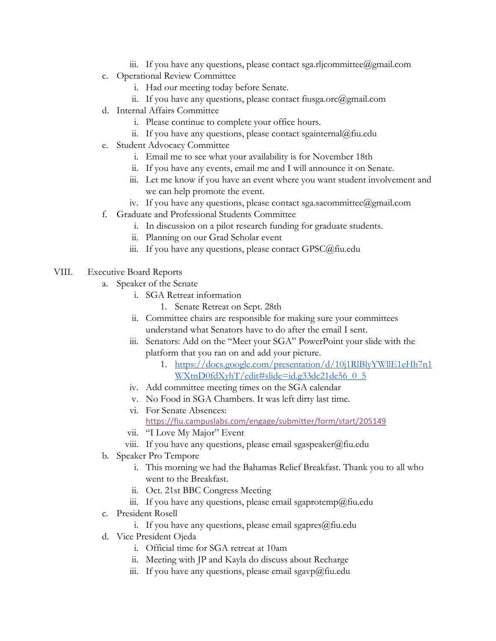- iii. If you have any questions, please contact sga.rljcommittee@gmail.com
- c. Operational Review Committee
	- i. Had our meeting today before Senate.
	- ii. If you have any questions, please contact fiusga.orc@gmail.com
- d. Internal Affairs Committee
	- i. Please continue to complete your office hours.
	- ii. If you have any questions, please contact sgainternal@fiu.edu
- e. Student Advocacy Committee
	- i. Email me to see what your availability is for November 18th
	- ii. If you have any events, email me and I will announce it on Senate.
	- iii. Let me know if you have an event where you want student involvement and we can help promote the event.
	- iv. If you have any questions, please contact sga.sacommittee@gmail.com
- f. Graduate and Professional Students Committee
	- i. In discussion on a pilot research funding for graduate students.
	- ii. Planning on our Grad Scholar event
	- iii. If you have any questions, please contact GPSC@fiu.edu
- VIII. Executive Board Reports
	- a. Speaker of the Senate
		- i. SGA Retreat information
			- 1. Senate Retreat on Sept. 28th
		- ii. Committee chairs are responsible for making sure your committees understand what Senators have to do after the email I sent.
		- iii. Senators: Add on the "Meet your SGA" PowerPoint your slide with the platform that you ran on and add your picture.
			- 1. [https://docs.google.com/presentation/d/10j1RlBlyYWllE1eHh7n1](https://docs.google.com/presentation/d/10j1RlBlyYWllE1eHh7n1WXtnD0fdXyhT/edit#slide=id.g33dc21de56_0_5) [WXtnD0fdXyhT/edit#slide=id.g33dc21de56\\_0\\_5](https://docs.google.com/presentation/d/10j1RlBlyYWllE1eHh7n1WXtnD0fdXyhT/edit#slide=id.g33dc21de56_0_5)
		- iv. Add committee meeting times on the SGA calendar
		- v. No Food in SGA Chambers. It was left dirty last time.
		- vi. For Senate Absences: <https://fiu.campuslabs.com/engage/submitter/form/start/205149>
		- vii. "I Love My Major" Event
		- viii. If you have any questions, please email sgaspeaker@fiu.edu
	- b. Speaker Pro Tempore
		- i. This morning we had the Bahamas Relief Breakfast. Thank you to all who went to the Breakfast.
		- ii. Oct. 21st BBC Congress Meeting
		- iii. If you have any questions, please email sgaprotemp@fiu.edu
	- c. President Rosell
		- i. If you have any questions, please email sgapres $@$ fiu.edu
	- d. Vice President Ojeda
		- i. Official time for SGA retreat at 10am
		- ii. Meeting with JP and Kayla do discuss about Recharge
		- iii. If you have any questions, please email sgavp $\omega$ fiu.edu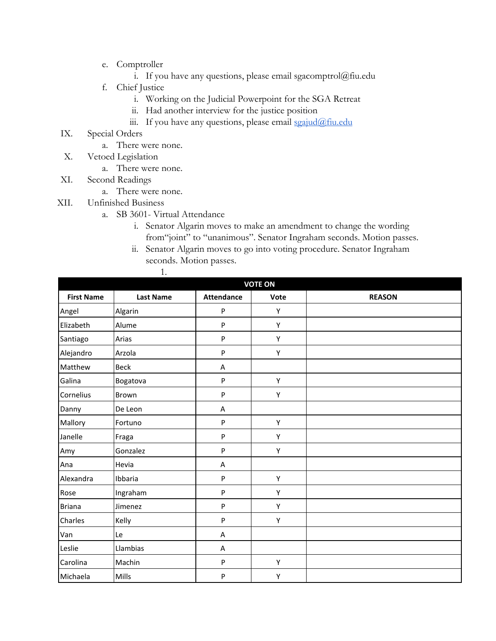- e. Comptroller
	- i. If you have any questions, please email sgacomptrol@fiu.edu
- f. Chief Justice
	- i. Working on the Judicial Powerpoint for the SGA Retreat
	- ii. Had another interview for the justice position
	- iii. If you have any questions, please email [sgajud@fiu.edu](mailto:sgajud@fiu.edu)
- IX. Special Orders
	- a. There were none.
- X. Vetoed Legislation
	- a. There were none.
- XI. Second Readings
	- a. There were none.
- XII. Unfinished Business
	- a. SB 3601- Virtual Attendance

1.

- i. Senator Algarin moves to make an amendment to change the wording from"joint" to "unanimous". Senator Ingraham seconds. Motion passes.
- ii. Senator Algarin moves to go into voting procedure. Senator Ingraham seconds. Motion passes.

| <b>VOTE ON</b>    |                  |                           |      |               |  |
|-------------------|------------------|---------------------------|------|---------------|--|
| <b>First Name</b> | <b>Last Name</b> | <b>Attendance</b>         | Vote | <b>REASON</b> |  |
| Angel             | Algarin          | ${\sf P}$                 | Υ    |               |  |
| Elizabeth         | Alume            | $\sf P$                   | Υ    |               |  |
| Santiago          | Arias            | ${\sf P}$                 | Υ    |               |  |
| Alejandro         | Arzola           | P                         | Υ    |               |  |
| Matthew           | <b>Beck</b>      | A                         |      |               |  |
| Galina            | Bogatova         | $\boldsymbol{\mathsf{P}}$ | Υ    |               |  |
| Cornelius         | Brown            | P                         | Υ    |               |  |
| Danny             | De Leon          | Α                         |      |               |  |
| Mallory           | Fortuno          | $\sf P$                   | Υ    |               |  |
| Janelle           | Fraga            | $\sf P$                   | Υ    |               |  |
| Amy               | Gonzalez         | ${\sf P}$                 | Υ    |               |  |
| Ana               | Hevia            | A                         |      |               |  |
| Alexandra         | Ibbaria          | $\sf P$                   | Υ    |               |  |
| Rose              | Ingraham         | P                         | Υ    |               |  |
| <b>Briana</b>     | Jimenez          | P                         | Υ    |               |  |
| Charles           | Kelly            | ${\sf P}$                 | Υ    |               |  |
| Van               | Le               | Α                         |      |               |  |
| Leslie            | Llambias         | $\boldsymbol{\mathsf{A}}$ |      |               |  |
| Carolina          | Machin           | ${\sf P}$                 | Υ    |               |  |
| Michaela          | Mills            | P                         | Υ    |               |  |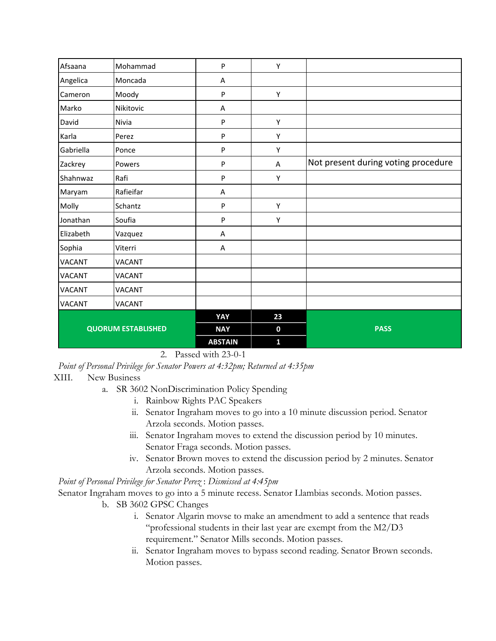| Afsaana                   | Mohammad      | P              | Υ            |                                     |
|---------------------------|---------------|----------------|--------------|-------------------------------------|
| Angelica                  | Moncada       | Α              |              |                                     |
| Cameron                   | Moody         | ${\sf P}$      | Υ            |                                     |
| Marko                     | Nikitovic     | Α              |              |                                     |
| David                     | Nivia         | $\mathsf{P}$   | Υ            |                                     |
| Karla                     | Perez         | ${\sf P}$      | Υ            |                                     |
| Gabriella                 | Ponce         | ${\sf P}$      | Υ            |                                     |
| Zackrey                   | Powers        | P              | A            | Not present during voting procedure |
| Shahnwaz                  | Rafi          | P              | Υ            |                                     |
| Maryam                    | Rafieifar     | Α              |              |                                     |
| Molly                     | Schantz       | P              | Υ            |                                     |
| Jonathan                  | Soufia        | P              | Υ            |                                     |
| Elizabeth                 | Vazquez       | Α              |              |                                     |
| Sophia                    | Viterri       | A              |              |                                     |
| <b>VACANT</b>             | <b>VACANT</b> |                |              |                                     |
| VACANT                    | VACANT        |                |              |                                     |
| <b>VACANT</b>             | <b>VACANT</b> |                |              |                                     |
| <b>VACANT</b>             | <b>VACANT</b> |                |              |                                     |
| <b>QUORUM ESTABLISHED</b> |               | YAY            | 23           |                                     |
|                           |               | <b>NAY</b>     | $\mathbf 0$  | <b>PASS</b>                         |
|                           |               | <b>ABSTAIN</b> | $\mathbf{1}$ |                                     |

2. Passed with 23-0-1

*Point of Personal Privilege for Senator Powers at 4:32pm; Returned at 4:35pm*

#### XIII. New Business

- a. SR 3602 NonDiscrimination Policy Spending
	- i. Rainbow Rights PAC Speakers
	- ii. Senator Ingraham moves to go into a 10 minute discussion period. Senator Arzola seconds. Motion passes.
	- iii. Senator Ingraham moves to extend the discussion period by 10 minutes. Senator Fraga seconds. Motion passes.
	- iv. Senator Brown moves to extend the discussion period by 2 minutes. Senator Arzola seconds. Motion passes.

*Point of Personal Privilege for Senator Perez* : *Dismissed at 4:45pm*

Senator Ingraham moves to go into a 5 minute recess. Senator Llambias seconds. Motion passes.

- b. SB 3602 GPSC Changes
	- i. Senator Algarin movse to make an amendment to add a sentence that reads "professional students in their last year are exempt from the M2/D3 requirement." Senator Mills seconds. Motion passes.
	- ii. Senator Ingraham moves to bypass second reading. Senator Brown seconds. Motion passes.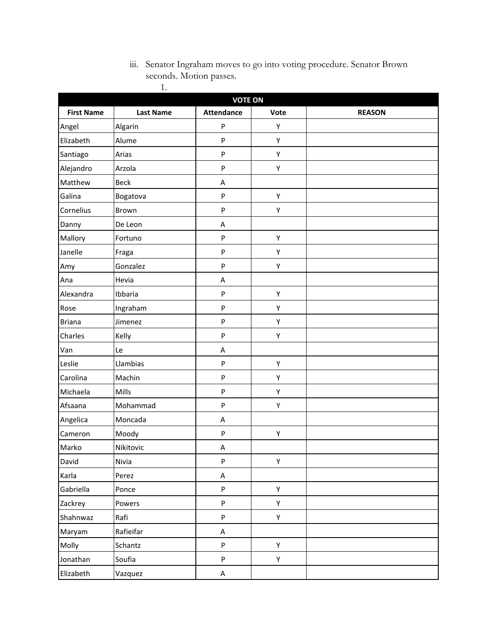## iii. Senator Ingraham moves to go into voting procedure. Senator Brown seconds. Motion passes. 1.

| <b>VOTE ON</b>    |                  |                   |      |               |
|-------------------|------------------|-------------------|------|---------------|
| <b>First Name</b> | <b>Last Name</b> | <b>Attendance</b> | Vote | <b>REASON</b> |
| Angel             | Algarin          | ${\sf P}$         | Υ    |               |
| Elizabeth         | Alume            | ${\sf P}$         | Υ    |               |
| Santiago          | Arias            | $\sf P$           | Υ    |               |
| Alejandro         | Arzola           | $\sf P$           | Υ    |               |
| Matthew           | <b>Beck</b>      | A                 |      |               |
| Galina            | Bogatova         | ${\sf P}$         | Υ    |               |
| Cornelius         | Brown            | $\sf P$           | Υ    |               |
| Danny             | De Leon          | A                 |      |               |
| Mallory           | Fortuno          | ${\sf P}$         | Υ    |               |
| Janelle           | Fraga            | ${\sf P}$         | Υ    |               |
| Amy               | Gonzalez         | $\sf P$           | Υ    |               |
| Ana               | Hevia            | A                 |      |               |
| Alexandra         | Ibbaria          | ${\sf P}$         | Υ    |               |
| Rose              | Ingraham         | ${\sf P}$         | Υ    |               |
| <b>Briana</b>     | Jimenez          | ${\sf P}$         | Υ    |               |
| Charles           | Kelly            | $\sf P$           | Υ    |               |
| Van               | Le               | A                 |      |               |
| Leslie            | Llambias         | ${\sf P}$         | Υ    |               |
| Carolina          | Machin           | ${\sf P}$         | Υ    |               |
| Michaela          | Mills            | $\sf P$           | Υ    |               |
| Afsaana           | Mohammad         | ${\sf P}$         | Υ    |               |
| Angelica          | Moncada          | A                 |      |               |
| Cameron           | Moody            | ${\sf P}$         | Υ    |               |
| Marko             | Nikitovic        | A                 |      |               |
| David             | Nivia            | ${\sf P}$         | Υ    |               |
| Karla             | Perez            | $\sf A$           |      |               |
| Gabriella         | Ponce            | ${\sf P}$         | Υ    |               |
| Zackrey           | Powers           | ${\sf P}$         | Υ    |               |
| Shahnwaz          | Rafi             | ${\sf P}$         | Υ    |               |
| Maryam            | Rafieifar        | A                 |      |               |
| Molly             | Schantz          | ${\sf P}$         | Υ    |               |
| Jonathan          | Soufia           | $\sf P$           | Υ    |               |
| Elizabeth         | Vazquez          | A                 |      |               |